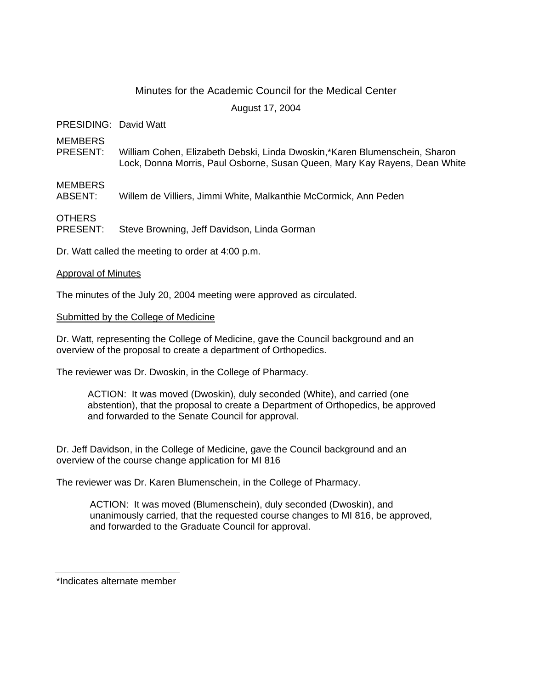# Minutes for the Academic Council for the Medical Center

August 17, 2004

PRESIDING: David Watt

MEMBERS

PRESENT: William Cohen, Elizabeth Debski, Linda Dwoskin,\*Karen Blumenschein, Sharon Lock, Donna Morris, Paul Osborne, Susan Queen, Mary Kay Rayens, Dean White

## MEMBERS

ABSENT: Willem de Villiers, Jimmi White, Malkanthie McCormick, Ann Peden

OTHERS

PRESENT: Steve Browning, Jeff Davidson, Linda Gorman

Dr. Watt called the meeting to order at 4:00 p.m.

## Approval of Minutes

The minutes of the July 20, 2004 meeting were approved as circulated.

## Submitted by the College of Medicine

Dr. Watt, representing the College of Medicine, gave the Council background and an overview of the proposal to create a department of Orthopedics.

The reviewer was Dr. Dwoskin, in the College of Pharmacy.

ACTION: It was moved (Dwoskin), duly seconded (White), and carried (one abstention), that the proposal to create a Department of Orthopedics, be approved and forwarded to the Senate Council for approval.

Dr. Jeff Davidson, in the College of Medicine, gave the Council background and an overview of the course change application for MI 816

The reviewer was Dr. Karen Blumenschein, in the College of Pharmacy.

ACTION: It was moved (Blumenschein), duly seconded (Dwoskin), and unanimously carried, that the requested course changes to MI 816, be approved, and forwarded to the Graduate Council for approval.

\*Indicates alternate member